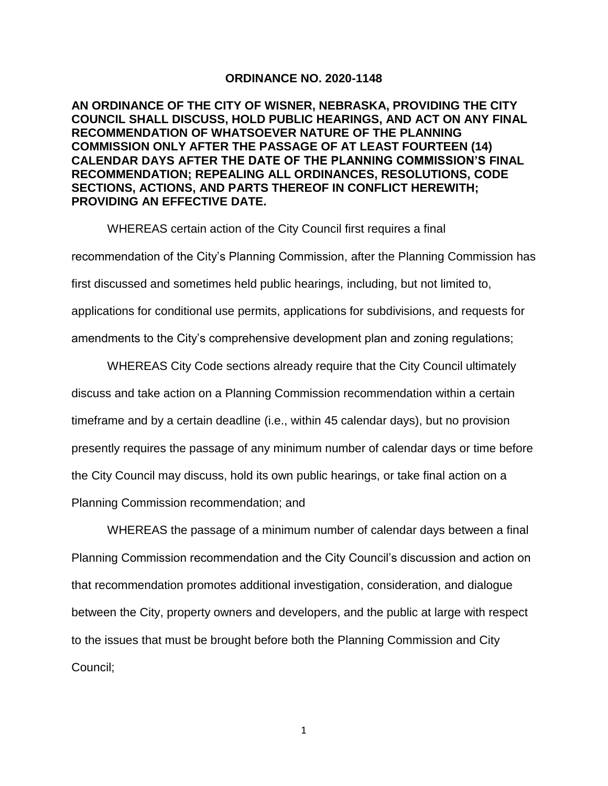## **ORDINANCE NO. 2020-1148**

**AN ORDINANCE OF THE CITY OF WISNER, NEBRASKA, PROVIDING THE CITY COUNCIL SHALL DISCUSS, HOLD PUBLIC HEARINGS, AND ACT ON ANY FINAL RECOMMENDATION OF WHATSOEVER NATURE OF THE PLANNING COMMISSION ONLY AFTER THE PASSAGE OF AT LEAST FOURTEEN (14) CALENDAR DAYS AFTER THE DATE OF THE PLANNING COMMISSION'S FINAL RECOMMENDATION; REPEALING ALL ORDINANCES, RESOLUTIONS, CODE SECTIONS, ACTIONS, AND PARTS THEREOF IN CONFLICT HEREWITH; PROVIDING AN EFFECTIVE DATE.** 

WHEREAS certain action of the City Council first requires a final recommendation of the City's Planning Commission, after the Planning Commission has first discussed and sometimes held public hearings, including, but not limited to, applications for conditional use permits, applications for subdivisions, and requests for amendments to the City's comprehensive development plan and zoning regulations;

WHEREAS City Code sections already require that the City Council ultimately discuss and take action on a Planning Commission recommendation within a certain timeframe and by a certain deadline (i.e., within 45 calendar days), but no provision presently requires the passage of any minimum number of calendar days or time before the City Council may discuss, hold its own public hearings, or take final action on a Planning Commission recommendation; and

WHEREAS the passage of a minimum number of calendar days between a final Planning Commission recommendation and the City Council's discussion and action on that recommendation promotes additional investigation, consideration, and dialogue between the City, property owners and developers, and the public at large with respect to the issues that must be brought before both the Planning Commission and City Council;

1